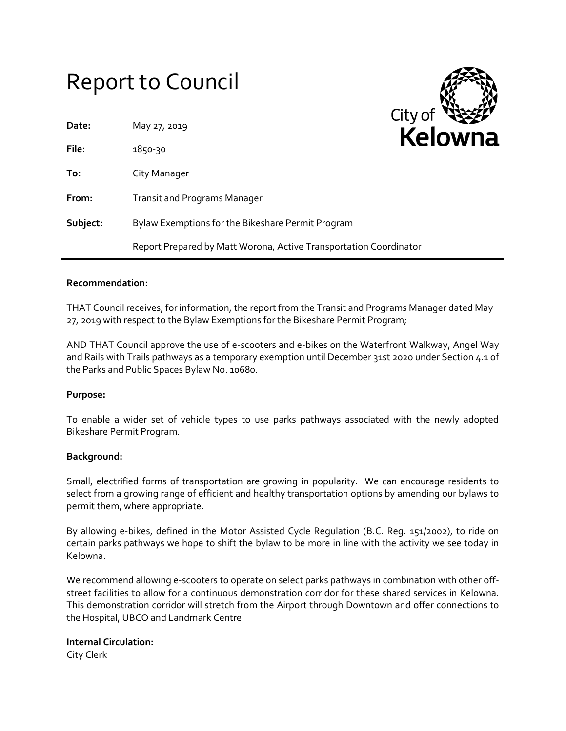# Report to Council



| Date:    | May 27, 2019                                                      |  |
|----------|-------------------------------------------------------------------|--|
| File:    | 1850-30                                                           |  |
| To:      | City Manager                                                      |  |
| From:    | <b>Transit and Programs Manager</b>                               |  |
| Subject: | Bylaw Exemptions for the Bikeshare Permit Program                 |  |
|          | Report Prepared by Matt Worona, Active Transportation Coordinator |  |

#### **Recommendation:**

THAT Council receives, for information, the report from the Transit and Programs Manager dated May 27, 2019 with respect to the Bylaw Exemptions for the Bikeshare Permit Program;

AND THAT Council approve the use of e-scooters and e-bikes on the Waterfront Walkway, Angel Way and Rails with Trails pathways as a temporary exemption until December 31st 2020 under Section 4.1 of the Parks and Public Spaces Bylaw No. 10680.

### **Purpose:**

To enable a wider set of vehicle types to use parks pathways associated with the newly adopted Bikeshare Permit Program.

### **Background:**

Small, electrified forms of transportation are growing in popularity. We can encourage residents to select from a growing range of efficient and healthy transportation options by amending our bylaws to permit them, where appropriate.

By allowing e-bikes, defined in the Motor Assisted Cycle Regulation (B.C. Reg. 151/2002), to ride on certain parks pathways we hope to shift the bylaw to be more in line with the activity we see today in Kelowna.

We recommend allowing e-scooters to operate on select parks pathways in combination with other offstreet facilities to allow for a continuous demonstration corridor for these shared services in Kelowna. This demonstration corridor will stretch from the Airport through Downtown and offer connections to the Hospital, UBCO and Landmark Centre.

## **Internal Circulation:** City Clerk